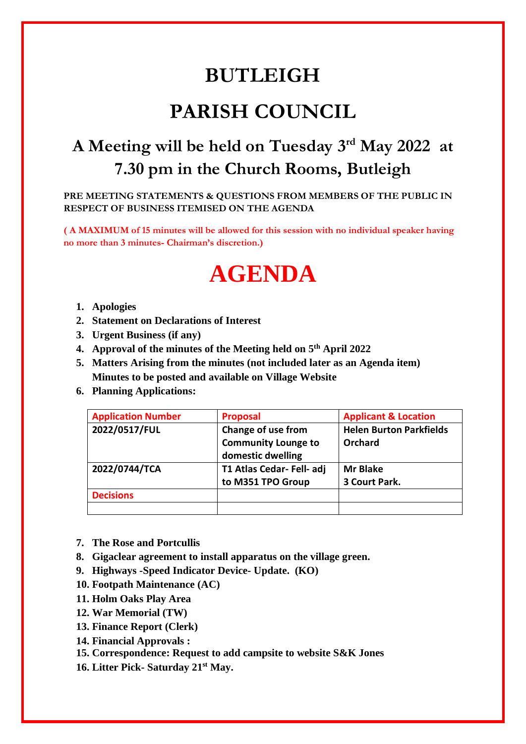## **BUTLEIGH**

## **PARISH COUNCIL**

## **A Meeting will be held on Tuesday 3 rd May 2022 at 7.30 pm in the Church Rooms, Butleigh**

**PRE MEETING STATEMENTS & QUESTIONS FROM MEMBERS OF THE PUBLIC IN RESPECT OF BUSINESS ITEMISED ON THE AGENDA**

**( A MAXIMUM of 15 minutes will be allowed for this session with no individual speaker having no more than 3 minutes- Chairman's discretion.)** 

## **AGENDA**

- **1. Apologies**
- **2. Statement on Declarations of Interest**
- **3. Urgent Business (if any)**
- **4. Approval of the minutes of the Meeting held on 5 th April 2022**
- **5. Matters Arising from the minutes (not included later as an Agenda item) Minutes to be posted and available on Village Website**
- **6. Planning Applications:**

| <b>Application Number</b> | <b>Proposal</b>            | <b>Applicant &amp; Location</b> |
|---------------------------|----------------------------|---------------------------------|
| 2022/0517/FUL             | Change of use from         | <b>Helen Burton Parkfields</b>  |
|                           | <b>Community Lounge to</b> | Orchard                         |
|                           | domestic dwelling          |                                 |
| 2022/0744/TCA             | T1 Atlas Cedar- Fell- adj  | <b>Mr Blake</b>                 |
|                           | to M351 TPO Group          | 3 Court Park.                   |
| <b>Decisions</b>          |                            |                                 |
|                           |                            |                                 |

- **7. The Rose and Portcullis**
- **8. Gigaclear agreement to install apparatus on the village green.**
- **9. Highways -Speed Indicator Device- Update. (KO)**
- **10. Footpath Maintenance (AC)**
- **11. Holm Oaks Play Area**
- **12. War Memorial (TW)**
- **13. Finance Report (Clerk)**
- **14. Financial Approvals :**
- **15. Correspondence: Request to add campsite to website S&K Jones**
- **16. Litter Pick- Saturday 21st May.**